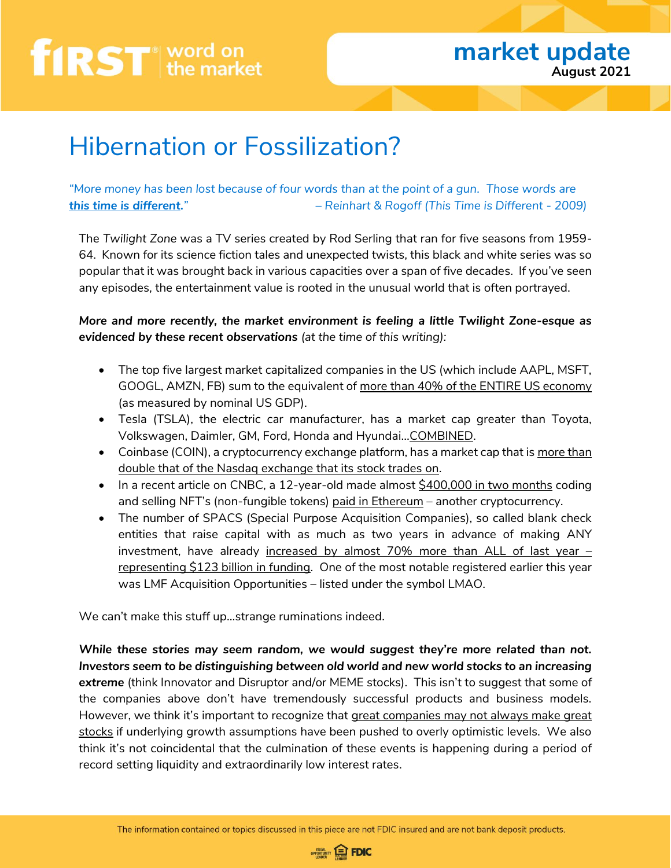### **market update August 2021**

### Hibernation or Fossilization?

*"More money has been lost because of four words than at the point of a gun. Those words are this time is different." – Reinhart & Rogoff (This Time is Different - 2009)*

The *Twilight Zone* was a TV series created by Rod Serling that ran for five seasons from 1959- 64. Known for its science fiction tales and unexpected twists, this black and white series was so popular that it was brought back in various capacities over a span of five decades. If you've seen any episodes, the entertainment value is rooted in the unusual world that is often portrayed.

*More and more recently, the market environment is feeling a little Twilight Zone-esque as evidenced by these recent observations (at the time of this writing):*

- The top five largest market capitalized companies in the US (which include AAPL, MSFT, GOOGL, AMZN, FB) sum to the equivalent of more than 40% of the ENTIRE US economy (as measured by nominal US GDP).
- Tesla (TSLA), the electric car manufacturer, has a market cap greater than Toyota, Volkswagen, Daimler, GM, Ford, Honda and Hyundai…COMBINED.
- Coinbase (COIN), a cryptocurrency exchange platform, has a market cap that is more than double that of the Nasdaq exchange that its stock trades on.
- In a recent article on CNBC, a 12-year-old made almost \$400,000 in two months coding and selling NFT's (non-fungible tokens) paid in Ethereum – another cryptocurrency.
- The number of SPACS (Special Purpose Acquisition Companies), so called blank check entities that raise capital with as much as two years in advance of making ANY investment, have already increased by almost  $70\%$  more than ALL of last year  $$ representing \$123 billion in funding. One of the most notable registered earlier this year was LMF Acquisition Opportunities – listed under the symbol LMAO.

We can't make this stuff up…strange ruminations indeed.

*While these stories may seem random, we would suggest they're more related than not. Investors seem to be distinguishing between old world and new world stocks to an increasing extreme* (think Innovator and Disruptor and/or MEME stocks).This isn't to suggest that some of the companies above don't have tremendously successful products and business models. However, we think it's important to recognize that great companies may not always make great stocks if underlying growth assumptions have been pushed to overly optimistic levels. We also think it's not coincidental that the culmination of these events is happening during a period of record setting liquidity and extraordinarily low interest rates.

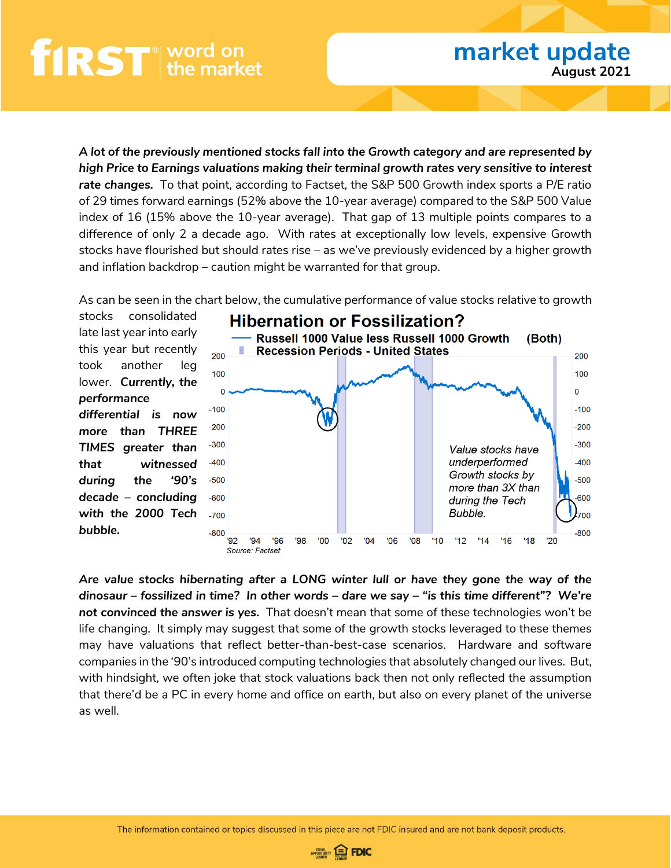*A lot of the previously mentioned stocks fall into the Growth category and are represented by high Price to Earnings valuations making their terminal growth rates very sensitive to interest rate changes.* To that point, according to Factset, the S&P 500 Growth index sports a P/E ratio of 29 times forward earnings (52% above the 10-year average) compared to the S&P 500 Value index of 16 (15% above the 10-year average). That gap of 13 multiple points compares to a difference of only 2 a decade ago. With rates at exceptionally low levels, expensive Growth stocks have flourished but should rates rise – as we've previously evidenced by a higher growth and inflation backdrop – caution might be warranted for that group.

As can be seen in the chart below, the cumulative performance of value stocks relative to growth

stocks consolidated late last year into early this year but recently took another leg lower. *Currently, the performance differential is now more than THREE TIMES greater than that witnessed during the '90's decade – concluding with the 2000 Tech bubble.*



**market update**

**August 2021**

*Are value stocks hibernating after a LONG winter lull or have they gone the way of the dinosaur – fossilized in time? In other words – dare we say – "is this time different"? We're not convinced the answer is yes.* That doesn't mean that some of these technologies won't be life changing. It simply may suggest that some of the growth stocks leveraged to these themes may have valuations that reflect better-than-best-case scenarios. Hardware and software companies in the '90's introduced computing technologies that absolutely changed our lives. But, with hindsight, we often joke that stock valuations back then not only reflected the assumption that there'd be a PC in every home and office on earth, but also on every planet of the universe as well.

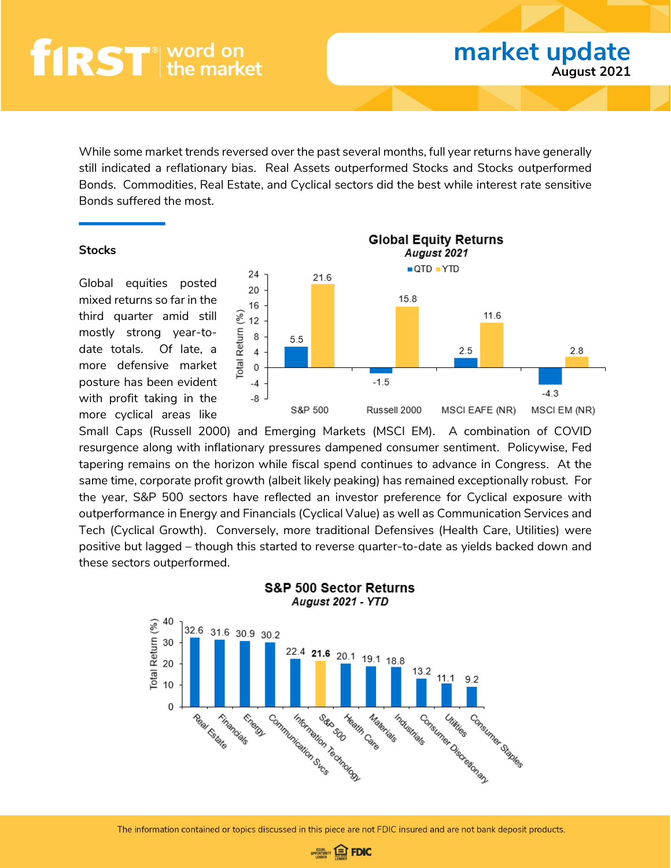While some market trends reversed over the past several months, full year returns have generally still indicated a reflationary bias. Real Assets outperformed Stocks and Stocks outperformed Bonds. Commodities, Real Estate, and Cyclical sectors did the best while interest rate sensitive Bonds suffered the most.

#### **Stocks**

Global equities posted mixed returns so far in the third quarter amid still mostly strong year-todate totals. Of late, a more defensive market posture has been evident with profit taking in the more cyclical areas like



**market update**

**August 2021**

Small Caps (Russell 2000) and Emerging Markets (MSCI EM). A combination of COVID resurgence along with inflationary pressures dampened consumer sentiment. Policywise, Fed tapering remains on the horizon while fiscal spend continues to advance in Congress. At the same time, corporate profit growth (albeit likely peaking) has remained exceptionally robust. For the year, S&P 500 sectors have reflected an investor preference for Cyclical exposure with outperformance in Energy and Financials (Cyclical Value) as well as Communication Services and Tech (Cyclical Growth). Conversely, more traditional Defensives (Health Care, Utilities) were positive but lagged – though this started to reverse quarter-to-date as yields backed down and these sectors outperformed.



#### **S&P 500 Sector Returns** August 2021 - YTD

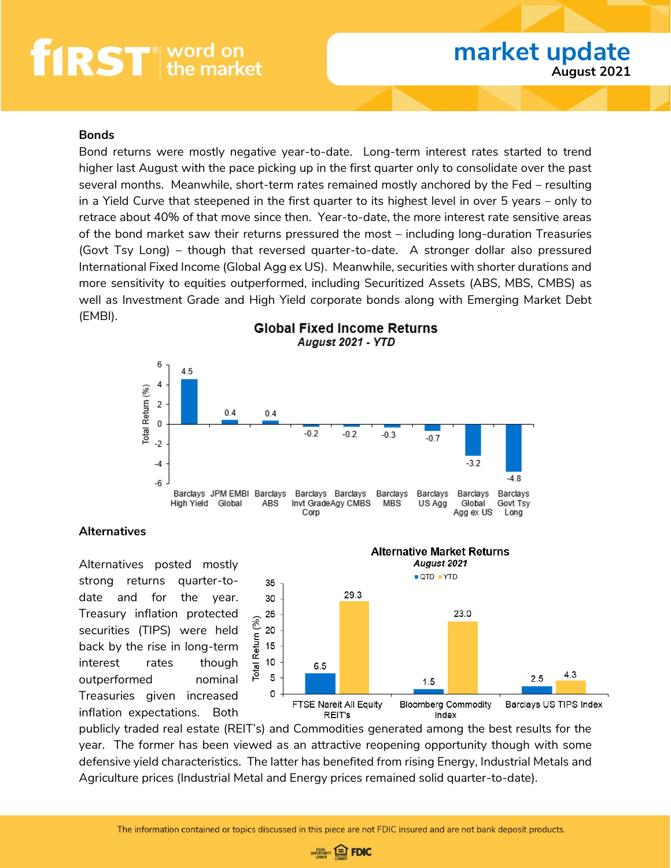#### **Bonds**

Bond returns were mostly negative year-to-date. Long-term interest rates started to trend higher last August with the pace picking up in the first quarter only to consolidate over the past several months. Meanwhile, short-term rates remained mostly anchored by the Fed – resulting in a Yield Curve that steepened in the first quarter to its highest level in over 5 years – only to retrace about 40% of that move since then. Year-to-date, the more interest rate sensitive areas of the bond market saw their returns pressured the most – including long-duration Treasuries (Govt Tsy Long) – though that reversed quarter-to-date. A stronger dollar also pressured International Fixed Income (Global Agg ex US). Meanwhile, securities with shorter durations and more sensitivity to equities outperformed, including Securitized Assets (ABS, MBS, CMBS) as well as Investment Grade and High Yield corporate bonds along with Emerging Market Debt (EMBI). **Global Fixed Income Returns** 



#### **Alternatives**

Alternatives posted mostly strong returns quarter-todate and for the year. Treasury inflation protected securities (TIPS) were held back by the rise in long-term interest rates though outperformed nominal Treasuries given increased inflation expectations. Both



publicly traded real estate (REIT's) and Commodities generated among the best results for the year. The former has been viewed as an attractive reopening opportunity though with some defensive yield characteristics. The latter has benefited from rising Energy, Industrial Metals and Agriculture prices (Industrial Metal and Energy prices remained solid quarter-to-date).

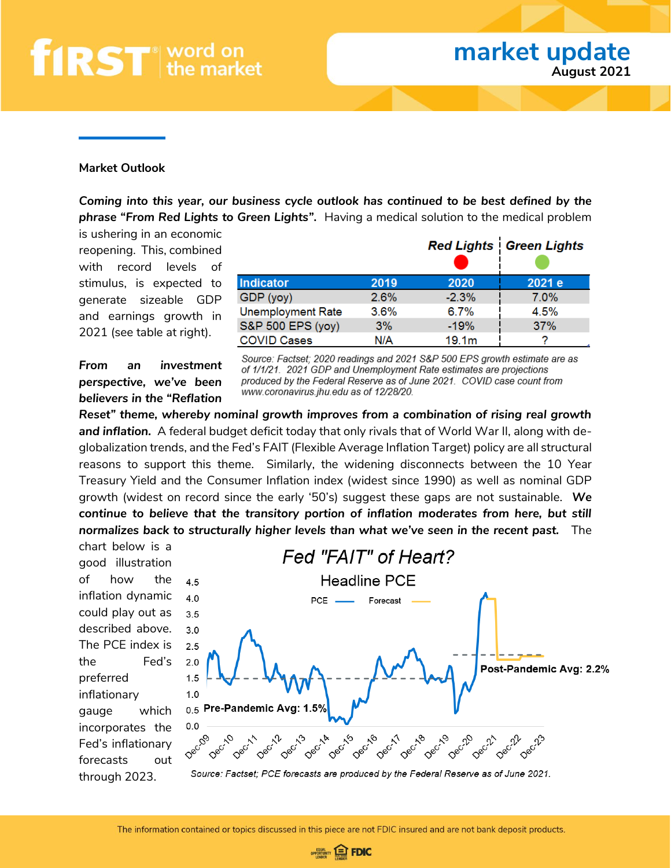#### **Market Outlook**

*Coming into this year, our business cycle outlook has continued to be best defined by the phrase "From Red Lights to Green Lights".* Having a medical solution to the medical problem

is ushering in an economic reopening. This, combined with record levels of stimulus, is expected to generate sizeable GDP and earnings growth in 2021 (see table at right).

|                          |      |                   | <b>Red Lights   Green Lights</b> |
|--------------------------|------|-------------------|----------------------------------|
| <b>Indicator</b>         | 2019 | 2020              | 2021 e                           |
| GDP (yoy)                | 2.6% | $-2.3%$           | $7.0\%$                          |
| <b>Unemployment Rate</b> | 3.6% | 6.7%              | 4.5%                             |
| S&P 500 EPS (yoy)        | 3%   | $-19%$            | 37%                              |
| <b>COVID Cases</b>       | N/A  | 19.1 <sub>m</sub> |                                  |

*From an investment perspective, we've been believers in the "Reflation*  Source: Factset; 2020 readings and 2021 S&P 500 EPS growth estimate are as of 1/1/21. 2021 GDP and Unemployment Rate estimates are projections produced by the Federal Reserve as of June 2021. COVID case count from www.coronavirus.jhu.edu as of 12/28/20.

*Reset" theme, whereby nominal growth improves from a combination of rising real growth and inflation.* A federal budget deficit today that only rivals that of World War II, along with deglobalization trends, and the Fed's FAIT (Flexible Average Inflation Target) policy are all structural reasons to support this theme. Similarly, the widening disconnects between the 10 Year Treasury Yield and the Consumer Inflation index (widest since 1990) as well as nominal GDP growth (widest on record since the early '50's) suggest these gaps are not sustainable. *We continue to believe that the transitory portion of inflation moderates from here, but still normalizes back to structurally higher levels than what we've seen in the recent past.* The

chart below is a good illustration of how the inflation dynamic could play out as described above. The PCE index is the Fed's preferred inflationary gauge which incorporates the Fed's inflationary forecasts out through 2023.



Source: Factset; PCE forecasts are produced by the Federal Reserve as of June 2021.

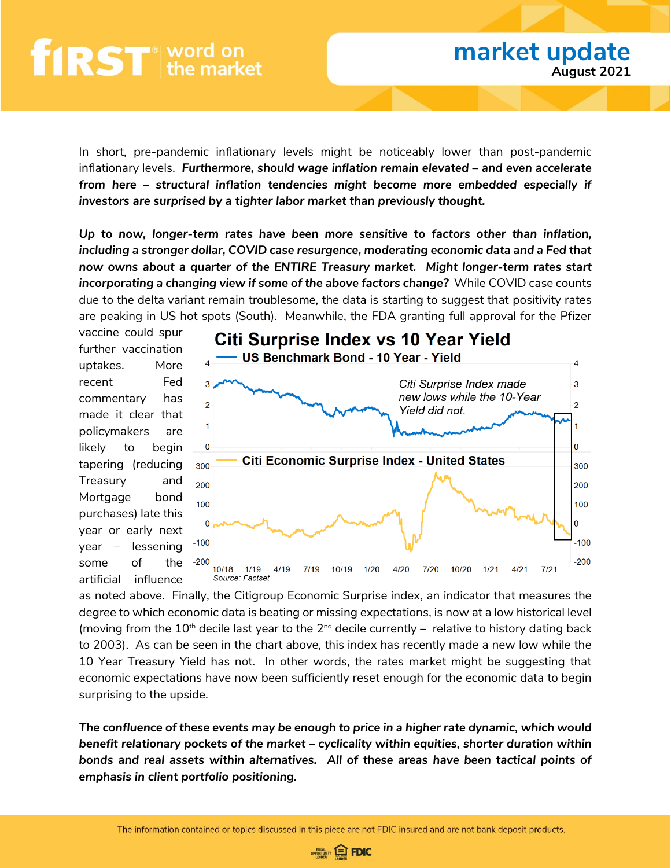In short, pre-pandemic inflationary levels might be noticeably lower than post-pandemic inflationary levels. *Furthermore, should wage inflation remain elevated – and even accelerate from here – structural inflation tendencies might become more embedded especially if investors are surprised by a tighter labor market than previously thought.* 

*Up to now, longer-term rates have been more sensitive to factors other than inflation, including a stronger dollar, COVID case resurgence, moderating economic data and a Fed that now owns about a quarter of the ENTIRE Treasury market. Might longer-term rates start incorporating a changing view if some of the above factors change?* While COVID case counts due to the delta variant remain troublesome, the data is starting to suggest that positivity rates are peaking in US hot spots (South). Meanwhile, the FDA granting full approval for the Pfizer

vaccine could spur further vaccination uptakes. More recent Fed commentary has made it clear that policymakers are likely to begin tapering (reducing Treasury and Mortgage bond purchases) late this year or early next year – lessening some of the artificial influence



as noted above. Finally, the Citigroup Economic Surprise index, an indicator that measures the degree to which economic data is beating or missing expectations, is now at a low historical level (moving from the  $10^{th}$  decile last year to the  $2^{nd}$  decile currently – relative to history dating back to 2003). As can be seen in the chart above, this index has recently made a new low while the 10 Year Treasury Yield has not. In other words, the rates market might be suggesting that economic expectations have now been sufficiently reset enough for the economic data to begin surprising to the upside.

*The confluence of these events may be enough to price in a higher rate dynamic, which would benefit relationary pockets of the market – cyclicality within equities, shorter duration within bonds and real assets within alternatives. All of these areas have been tactical points of emphasis in client portfolio positioning.* 

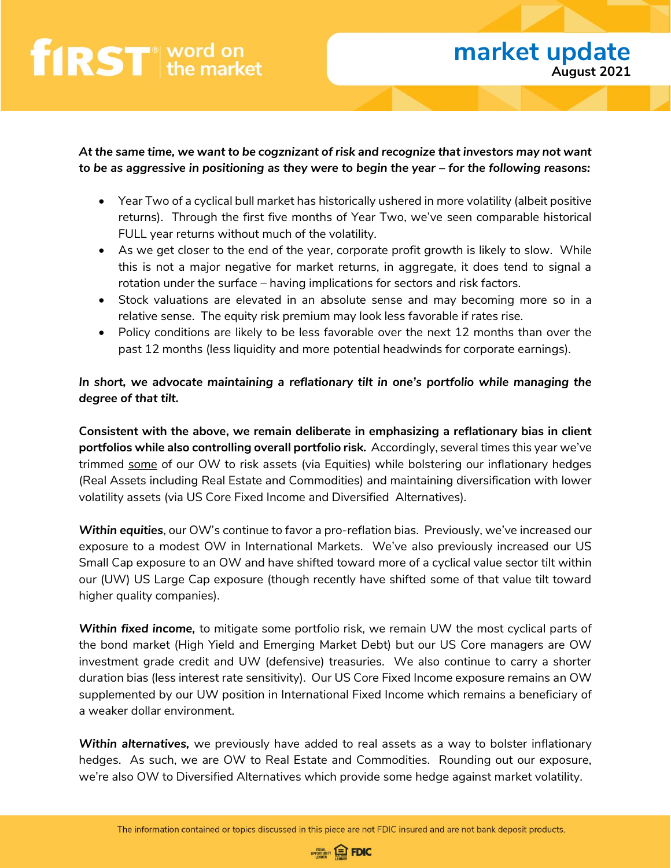*At the same time, we want to be cogznizant of risk and recognize that investors may not want to be as aggressive in positioning as they were to begin the year – for the following reasons:*

- Year Two of a cyclical bull market has historically ushered in more volatility (albeit positive returns). Through the first five months of Year Two, we've seen comparable historical FULL year returns without much of the volatility.
- As we get closer to the end of the year, corporate profit growth is likely to slow. While this is not a major negative for market returns, in aggregate, it does tend to signal a rotation under the surface – having implications for sectors and risk factors.
- Stock valuations are elevated in an absolute sense and may becoming more so in a relative sense. The equity risk premium may look less favorable if rates rise.
- Policy conditions are likely to be less favorable over the next 12 months than over the past 12 months (less liquidity and more potential headwinds for corporate earnings).

#### *In short, we advocate maintaining a reflationary tilt in one's portfolio while managing the degree of that tilt.*

**Consistent with the above, we remain deliberate in emphasizing a reflationary bias in client portfolios while also controlling overall portfolio risk.** Accordingly, several times this year we've trimmed some of our OW to risk assets (via Equities) while bolstering our inflationary hedges (Real Assets including Real Estate and Commodities) and maintaining diversification with lower volatility assets (via US Core Fixed Income and Diversified Alternatives).

*Within equities*, our OW's continue to favor a pro-reflation bias. Previously, we've increased our exposure to a modest OW in International Markets. We've also previously increased our US Small Cap exposure to an OW and have shifted toward more of a cyclical value sector tilt within our (UW) US Large Cap exposure (though recently have shifted some of that value tilt toward higher quality companies).

*Within fixed income,* to mitigate some portfolio risk, we remain UW the most cyclical parts of the bond market (High Yield and Emerging Market Debt) but our US Core managers are OW investment grade credit and UW (defensive) treasuries. We also continue to carry a shorter duration bias (less interest rate sensitivity). Our US Core Fixed Income exposure remains an OW supplemented by our UW position in International Fixed Income which remains a beneficiary of a weaker dollar environment.

*Within alternatives,* we previously have added to real assets as a way to bolster inflationary hedges. As such, we are OW to Real Estate and Commodities. Rounding out our exposure, we're also OW to Diversified Alternatives which provide some hedge against market volatility.